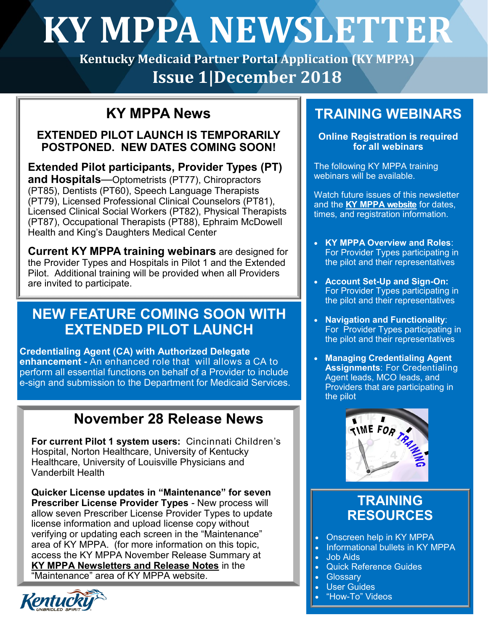# **KY MPPA NEWSLETTER**

**Kentucky Medicaid Partner Portal Application (KY MPPA) Issue 1|December 2018** 

## **KY MPPA News**

#### **EXTENDED PILOT LAUNCH IS TEMPORARILY POSTPONED. NEW DATES COMING SOON!**

**Extended Pilot participants, Provider Types (PT) and Hospitals**—Optometrists (PT77), Chiropractors (PT85), Dentists (PT60), Speech Language Therapists (PT79), Licensed Professional Clinical Counselors (PT81), Licensed Clinical Social Workers (PT82), Physical Therapists (PT87), Occupational Therapists (PT88), Ephraim McDowell Health and King's Daughters Medical Center

**Current KY MPPA training webinars** are designed for the Provider Types and Hospitals in Pilot 1 and the Extended Pilot. Additional training will be provided when all Providers are invited to participate.

## **NEW FEATURE COMING SOON WITH EXTENDED PILOT LAUNCH**

**Credentialing Agent (CA) with Authorized Delegate enhancement -** An enhanced role that will allows a CA to perform all essential functions on behalf of a Provider to include e-sign and submission to the Department for Medicaid Services.

## **November 28 Release News**

**For current Pilot 1 system users:** Cincinnati Children's Hospital, Norton Healthcare, University of Kentucky Healthcare, University of Louisville Physicians and Vanderbilt Health

**Quicker License updates in "Maintenance" for seven Prescriber License Provider Types** - New process will allow seven Prescriber License Provider Types to update license information and upload license copy without verifying or updating each screen in the "Maintenance" area of KY MPPA. (for more information on this topic, access the KY MPPA November Release Summary at **[KY MPPA Newsletters and Release Notes](https://chfs.ky.gov/agencies/dms/dpi/pe/Pages/resources.aspx)** in the "Maintenance" area of KY MPPA website.



## **TRAINING WEBINARS**

**Online Registration is required for all webinars**

The following KY MPPA training webinars will be available.

Watch future issues of this newsletter and the **[KY MPPA website](https://chfs.ky.gov/agencies/dms/dpi/pe/Pages/mppa.aspx)** for dates, times, and registration information.

- **KY MPPA Overview and Roles**: For Provider Types participating in the pilot and their representatives
- **Account Set-Up and Sign-On:**  For Provider Types participating in the pilot and their representatives
- **Navigation and Functionality**: For Provider Types participating in the pilot and their representatives
- **Managing Credentialing Agent Assignments**: For Credentialing Agent leads, MCO leads, and Providers that are participating in the pilot



## **TRAINING RESOURCES**

- Onscreen help in KY MPPA
- Informational bullets in KY MPPA
- Job Aids
- Quick Reference Guides
- Glossary
- User Guides
- "How-To" Videos